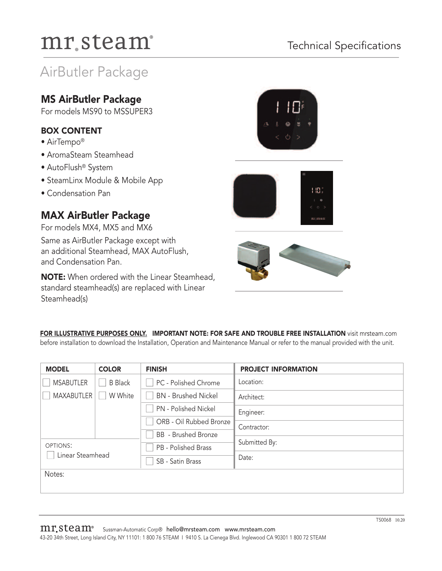## Technical Specifications

## AirButler Package

## **MS AirButler Package**

For models MS90 to MSSUPER3

### **BOX CONTENT**

- AirTempo®
- AromaSteam Steamhead
- AutoFlush® System
- SteamLinx Module & Mobile App
- Condensation Pan

## **MAX AirButler Package**

For models MX4, MX5 and MX6 Same as AirButler Package except with an additional Steamhead, MAX AutoFlush, and Condensation Pan.

**NOTE:** When ordered with the Linear Steamhead, standard steamhead(s) are replaced with Linear Steamhead(s)





**FOR ILLUSTRATIVE PURPOSES ONLY. IMPORTANT NOTE: FOR SAFE AND TROUBLE FREE INSTALLATION** visit mrsteam.com before installation to download the Installation, Operation and Maintenance Manual or refer to the manual provided with the unit.

| <b>MODEL</b>                 | <b>COLOR</b>   | <b>FINISH</b>              | <b>PROJECT INFORMATION</b> |
|------------------------------|----------------|----------------------------|----------------------------|
| <b>MSABUTLER</b>             | <b>B</b> Black | PC - Polished Chrome       | Location:                  |
| <b>MAXABUTLER</b>            | W White        | <b>BN</b> - Brushed Nickel | Architect:                 |
|                              |                | PN - Polished Nickel       | Engineer:                  |
|                              |                | ORB - Oil Rubbed Bronze    | Contractor:                |
|                              |                | <b>BB</b> - Brushed Bronze |                            |
| OPTIONS:<br>Linear Steamhead |                | PB - Polished Brass        | Submitted By:              |
|                              |                | SB - Satin Brass           | Date:                      |
| Notes:                       |                |                            |                            |
|                              |                |                            |                            |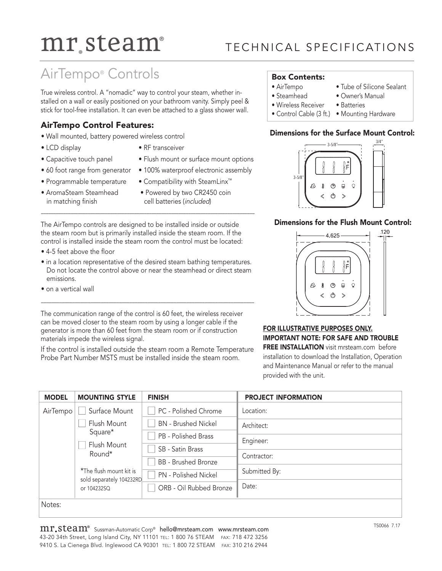## TE CHNICAL SPECIFICATIONS

## AirTempo® Controls

True wireless control. A "nomadic" way to control your steam, whether installed on a wall or easily positioned on your bathroom vanity. Simply peel & stick for tool-free installation. It can even be attached to a glass shower wall.

### **AirTempo Control Features:**

- Wall mounted, battery powered wireless control
- 
- LCD display RF transceiver
- Capacitive touch panel Flush mount or surface mount options
- 60 foot range from generator 100% waterproof electronic assembly
- Programmable temperature Compatibility with SteamLinx™
- in matching finish cell batteries (included)
- AromaSteam Steamhead Powered by two CR2450 coin

The AirTempo controls are designed to be installed inside or outside the steam room but is primarily installed inside the steam room. If the control is installed inside the steam room the control must be located:

–––––––––––––––––––––––––––––––––––––––––––––––––––––––––––––––––––––––––––––––––––––––

- 4-5 feet above the floor
- in a location representative of the desired steam bathing temperatures. Do not locate the control above or near the steamhead or direct steam emissions.

––––––––––––––––––––––––––––––––––––––––––––––––––––––––––––––––––––––––––––––––––

• on a vertical wall

The communication range of the control is 60 feet, the wireless receiver can be moved closer to the steam room by using a longer cable if the generator is more than 60 feet from the steam room or if construction materials impede the wireless signal.

If the control is installed outside the steam room a Remote Temperature Probe Part Number MSTS must be installed inside the steam room.

### **Box Contents:**

- AirTempo Tube of Silicone Sealant
- Steamhead Owner's Manual
- -
- Wireless Receiver Batteries
- Control Cable (3 ft.) Mounting Hardware

### **Dimensions for the Surface Mount Control:**



### **Dimensions for the Flush Mount Control:**



**FOR ILLUSTRATIVE PURPOSES ONLY. IMPORTANT NOTE: FOR SAFE AND TROUBLE FREE INSTALLATION** visit mrsteam.com before installation to download the Installation, Operation and Maintenance Manual or refer to the manual provided with the unit.

| <b>MODEL</b>                             | <b>MOUNTING STYLE</b>   | <b>FINISH</b>              | <b>PROJECT INFORMATION</b> |
|------------------------------------------|-------------------------|----------------------------|----------------------------|
| AirTempo                                 | Surface Mount           | PC - Polished Chrome       | Location:                  |
|                                          | Flush Mount             | <b>BN</b> - Brushed Nickel | Architect:                 |
|                                          | Square*                 | PB - Polished Brass        | Engineer:                  |
|                                          | Flush Mount<br>Round*   | SB - Satin Brass           |                            |
|                                          |                         | <b>BB</b> - Brushed Bronze | Contractor:                |
| sold separately 104232RD.<br>or 104232SQ | *The flush mount kit is | PN - Polished Nickel       | Submitted By:              |
|                                          |                         | ORB - Oil Rubbed Bronze    | Date:                      |
| Notes:                                   |                         |                            |                            |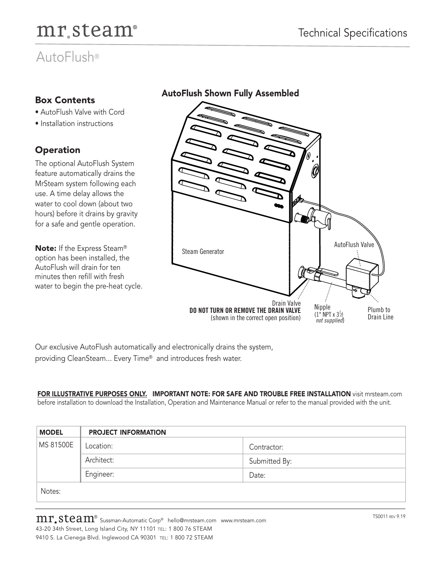# mr.steam<sup>®</sup> Technical Specifications

## AutoFlush®

## **Box Contents**

- AutoFlush Valve with Cord
- Installation instructions

## **Operation**

The optional AutoFlush System feature automatically drains the MrSteam system following each use. A time delay allows the water to cool down (about two hours) before it drains by gravity for a safe and gentle operation.

**Note:** If the Express Steam® option has been installed, the AutoFlush will drain for ten minutes then refill with fresh water to begin the pre-heat cycle. AutoFlush Valve

Drain Valve

Nipple  $(1^{\frac{1}{n}}$  NPT x  $3\frac{1}{2}$ *not supplied*)

**DO NOT TURN OR REMOVE THE DRAIN VALVE** (shown in the correct open position)

**AutoFlush Shown Fully Assembled**

Our exclusive AutoFlush automatically and electronically drains the system, providing CleanSteam... Every Time® and introduces fresh water.

**FOR ILLUSTRATIVE PURPOSES ONLY. IMPORTANT NOTE: FOR SAFE AND TROUBLE FREE INSTALLATION** visit mrsteam.com before installation to download the Installation, Operation and Maintenance Manual or refer to the manual provided with the unit.

Steam Generator

| <b>MODEL</b> | <b>PROJECT INFORMATION</b> |               |  |
|--------------|----------------------------|---------------|--|
| MS 81500E    | Location:                  | Contractor:   |  |
|              | Architect:                 | Submitted By: |  |
|              | Engineer:                  | Date:         |  |
| Notes:       |                            |               |  |

Plumb to Drain Line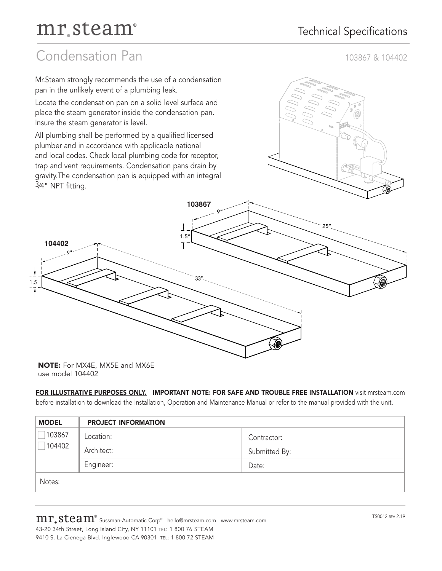## Condensation Pan 103867 & 104402



**NOTE:** For MX4E, MX5E and MX6E use model 104402

### **FOR ILLUSTRATIVE PURPOSES ONLY. IMPORTANT NOTE: FOR SAFE AND TROUBLE FREE INSTALLATION** visit mrsteam.com

before installation to download the Installation, Operation and Maintenance Manual or refer to the manual provided with the unit.

| <b>MODEL</b>                       | <b>PROJECT INFORMATION</b> |               |  |
|------------------------------------|----------------------------|---------------|--|
| 103867<br>$\blacksquare$<br>104402 | Location:                  | Contractor:   |  |
|                                    | Architect:                 | Submitted By: |  |
|                                    | Engineer:                  | Date:         |  |
| Notes:                             |                            |               |  |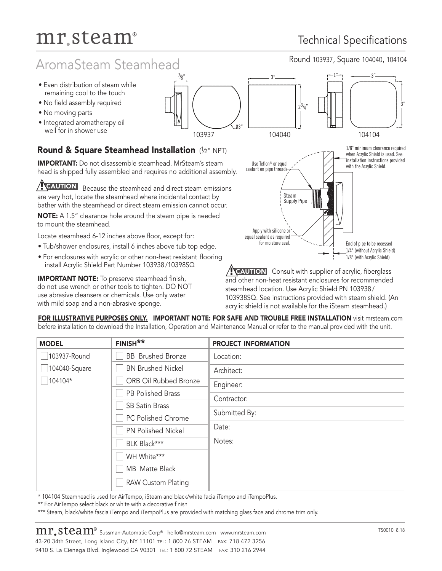# mr.steam® Technical Specifications

## AromaSteam Steamhead Round 103937, Square 104040, 104104

- Even distribution of steam while remaining cool to the touch
- No field assembly required
- No moving parts
- Integrated aromatherapy oil well for in shower use

## **Round & Square Steamhead Installation** ( 1⁄2" NPT)

**IMPORTANT:** Do not disassemble steamhead. MrSteam's steam head is shipped fully assembled and requires no additional assembly.

Because the steamhead and direct steam emissions are very hot, locate the steamhead where incidental contact by bather with the steamhead or direct steam emission cannot occur. **! CAUTION**

**NOTE:** A 1.5" clearance hole around the steam pipe is needed to mount the steamhead.

Locate steamhead 6-12 inches above floor, except for:

- Tub/shower enclosures, install 6 inches above tub top edge.
- For enclosures with acrylic or other non-heat resistant flooring install Acrylic Shield Part Number 103938 /10398SQ

**IMPORTANT NOTE:** To preserve steamhead finish, do not use wrench or other tools to tighten. DO NOT use abrasive cleansers or chemicals. Use only water with mild soap and a non-abrasive sponge.





**PEAUTION** Consult with supplier of acrylic, fiberglass and other non-heat resistant enclosures for recommended steamhead location. Use Acrylic Shield PN 103938 / 103938SQ. See instructions provided with steam shield. (An acrylic shield is not available for the iSteam steamhead.)

**FOR ILLUSTRATIVE PURPOSES ONLY. IMPORTANT NOTE: FOR SAFE AND TROUBLE FREE INSTALLATION** visit mrsteam.com before installation to download the Installation, Operation and Maintenance Manual or refer to the manual provided with the unit.

| <b>MODEL</b>     | FINISH**                  | <b>PROJECT INFORMATION</b> |
|------------------|---------------------------|----------------------------|
| 103937-Round     | <b>BB</b> Brushed Bronze  | Location:                  |
| 104040-Square    | <b>BN Brushed Nickel</b>  | Architect:                 |
| $\sqrt{104104*}$ | ORB Oil Rubbed Bronze     | Engineer:                  |
|                  | PB Polished Brass         | Contractor:                |
|                  | <b>SB Satin Brass</b>     |                            |
|                  | PC Polished Chrome        | Submitted By:              |
|                  | PN Polished Nickel        | Date:                      |
|                  | BLK Black***              | Notes:                     |
|                  | WH White***               |                            |
|                  | MB Matte Black            |                            |
|                  | <b>RAW Custom Plating</b> |                            |

\* 104104 Steamhead is used for AirTempo, iSteam and black/white facia iTempo and iTempoPlus.

\*\* For AirTempo select black or white with a decorative finish

\*\*\*iSteam, black/white fascia iTempo and iTempoPlus are provided with matching glass face and chrome trim only.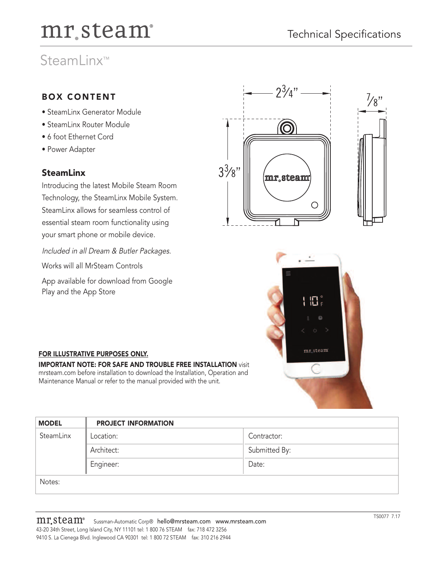## SteamLinx™

## **BOX CONTENT**

- SteamLinx Generator Module
- SteamLinx Router Module
- 6 foot Ethernet Cord
- Power Adapter

### **SteamLinx**

Introducing the latest Mobile Steam Room Technology, the SteamLinx Mobile System. SteamLinx allows for seamless control of essential steam room functionality using your smart phone or mobile device.

Included in all Dream & Butler Packages.

Works will all MrSteam Controls

App available for download from Google Play and the App Store





### **FOR ILLUSTRATIVE PURPOSES ONLY.**

**IMPORTANT NOTE: FOR SAFE AND TROUBLE FREE INSTALLATION** visit mrsteam.com before installation to download the Installation, Operation and Maintenance Manual or refer to the manual provided with the unit.

| <b>MODEL</b> | <b>PROJECT INFORMATION</b> |               |  |
|--------------|----------------------------|---------------|--|
| SteamLinx    | Location:                  | Contractor:   |  |
|              | Architect:                 | Submitted By: |  |
|              | Engineer:                  | Date:         |  |
| Notes:       |                            |               |  |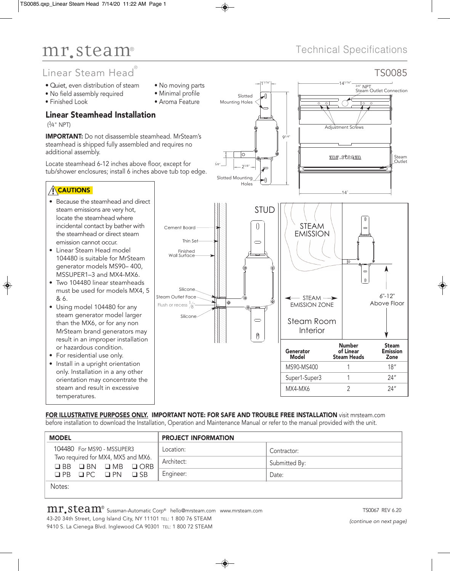## Linear Steam Head ®

- Quiet, even distribution of steam
- No field assembly required
- Finished Look
- 
- Aroma Feature

### Linear Steamhead Installation

( 3⁄4" NPT)

IMPORTANT: Do not disassemble steamhead. MrSteam's steamhead is shipped fully assembled and requires no additional assembly.

Locate steamhead 6-12 inches above floor, except for tub/shower enclosures; install 6 inches above tub top edge.

### **ACAUTIONS**

- Because the steamhead and direct steam emissions are very hot, locate the steamhead where incidental contact by bather with the steamhead or direct steam emission cannot occur.
- Linear Steam Head model 104480 is suitable for MrSteam generator models MS90– 400, MSSUPER1–3 and MX4-MX6.
- Two 104480 linear steamheads must be used for models MX4, 5 & 6.
- Using model 104480 for any steam generator model larger than the MX6, or for any non MrSteam brand generators may result in an improper installation or hazardous condition.
- For residential use only.
- Install in a upright orientation only. Installation in a any other orientation may concentrate the steam and result in excessive temperatures.
- No moving parts
- 
- 

## Technical Specifications



FOR ILLUSTRATIVE PURPOSES ONLY. IMPORTANT NOTE: FOR SAFE AND TROUBLE FREE INSTALLATION visit mrsteam.com before installation to download the Installation, Operation and Maintenance Manual or refer to the manual provided with the unit.

| <b>MODEL</b>                                           | <b>PROJECT INFORMATION</b> |               |
|--------------------------------------------------------|----------------------------|---------------|
| 104480 For MS90 - MSSUPER3                             | Location:                  | Contractor:   |
| Two required for MX4, MX5 and MX6.<br>OBB OBN OMB OORB | Architect:                 | Submitted By: |
| $QPB$ $QPC$ $QPN$ $QSB$                                | Engineer:                  | Date:         |
| Notes:                                                 |                            |               |

◈

## $\mathbf{m}$   $\mathbf{s}$  sussman-Automatic Corp® hello@mrsteam.com www.mrsteam.com example to the state of the SCO67 REV 6.20

43-20 34th Street, Long Island City, NY 11101 TEL: 1 800 76 STEAM 9410 S. La Cienega Blvd. Inglewood CA 90301 TEL: 1 800 72 STEAM

*(continue on next page)*